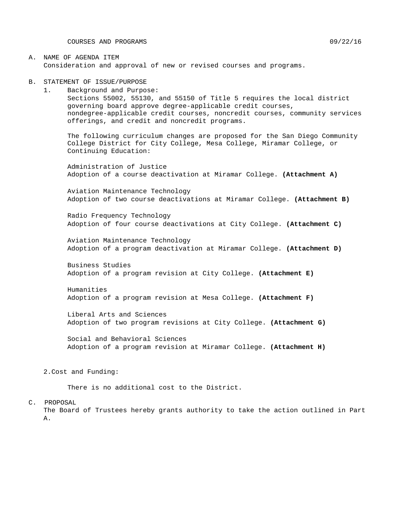COURSES AND PROGRAMS 09/22/16

#### A. NAME OF AGENDA ITEM Consideration and approval of new or revised courses and programs.

- B. STATEMENT OF ISSUE/PURPOSE
	- 1. Background and Purpose: Sections 55002, 55130, and 55150 of Title 5 requires the local district governing board approve degree-applicable credit courses, nondegree-applicable credit courses, noncredit courses, community services offerings, and credit and noncredit programs.

The following curriculum changes are proposed for the San Diego Community College District for City College, Mesa College, Miramar College, or Continuing Education:

Administration of Justice Adoption of a course deactivation at Miramar College. **(Attachment A)**

Aviation Maintenance Technology Adoption of two course deactivations at Miramar College. **(Attachment B)**

Radio Frequency Technology Adoption of four course deactivations at City College. **(Attachment C)**

Aviation Maintenance Technology Adoption of a program deactivation at Miramar College. **(Attachment D)**

Business Studies Adoption of a program revision at City College. **(Attachment E)**

Humanities Adoption of a program revision at Mesa College. **(Attachment F)**

Liberal Arts and Sciences Adoption of two program revisions at City College. **(Attachment G)**

Social and Behavioral Sciences Adoption of a program revision at Miramar College. **(Attachment H)**

2.Cost and Funding:

There is no additional cost to the District.

#### C. PROPOSAL

The Board of Trustees hereby grants authority to take the action outlined in Part A.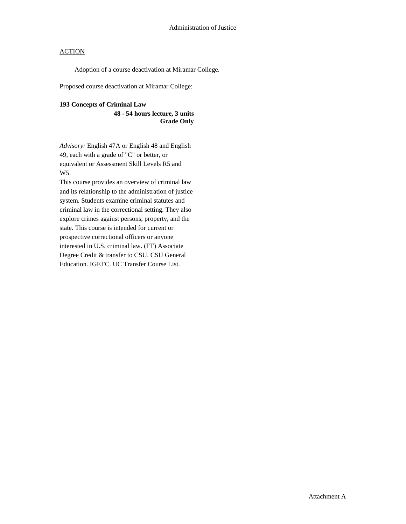Adoption of a course deactivation at Miramar College.

Proposed course deactivation at Miramar College:

### **193 Concepts of Criminal Law**

**48 - 54 hours lecture, 3 units Grade Only**

*Advisory:* English 47A or English 48 and English 49, each with a grade of "C" or better, or equivalent or Assessment Skill Levels R5 and W5.

This course provides an overview of criminal law and its relationship to the administration of justice system. Students examine criminal statutes and criminal law in the correctional setting. They also explore crimes against persons, property, and the state. This course is intended for current or prospective correctional officers or anyone interested in U.S. criminal law. (FT) Associate Degree Credit & transfer to CSU. CSU General Education. IGETC. UC Transfer Course List.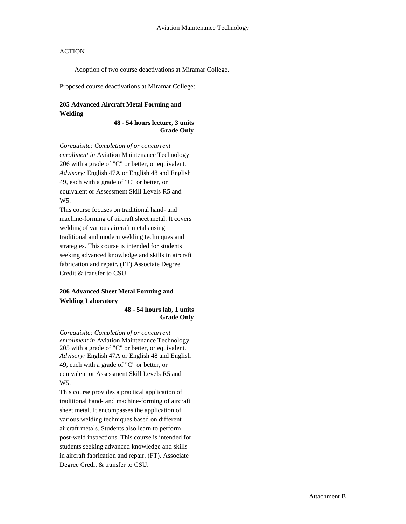Adoption of two course deactivations at Miramar College.

Proposed course deactivations at Miramar College:

### **205 Advanced Aircraft Metal Forming and Welding**

**48 - 54 hours lecture, 3 units Grade Only**

*Corequisite: Completion of or concurrent enrollment in* Aviation Maintenance Technology 206 with a grade of "C" or better, or equivalent. *Advisory:* English 47A or English 48 and English 49, each with a grade of "C" or better, or equivalent or Assessment Skill Levels R5 and W5.

This course focuses on traditional hand- and machine-forming of aircraft sheet metal. It covers welding of various aircraft metals using traditional and modern welding techniques and strategies. This course is intended for students seeking advanced knowledge and skills in aircraft fabrication and repair. (FT) Associate Degree Credit & transfer to CSU.

### **206 Advanced Sheet Metal Forming and Welding Laboratory**

**48 - 54 hours lab, 1 units Grade Only**

*Corequisite: Completion of or concurrent enrollment in* Aviation Maintenance Technology 205 with a grade of "C" or better, or equivalent. *Advisory:* English 47A or English 48 and English 49, each with a grade of "C" or better, or equivalent or Assessment Skill Levels R5 and W5.

This course provides a practical application of traditional hand- and machine-forming of aircraft sheet metal. It encompasses the application of various welding techniques based on different aircraft metals. Students also learn to perform post-weld inspections. This course is intended for students seeking advanced knowledge and skills in aircraft fabrication and repair. (FT). Associate Degree Credit & transfer to CSU.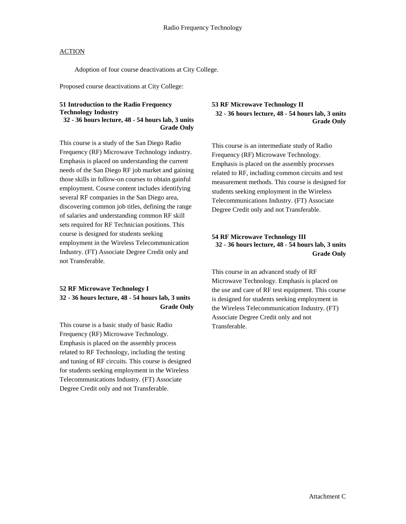Adoption of four course deactivations at City College.

Proposed course deactivations at City College:

#### **51 Introduction to the Radio Frequency Technology Industry 32 - 36 hours lecture, 48 - 54 hours lab, 3 units Grade Only**

This course is a study of the San Diego Radio Frequency (RF) Microwave Technology industry. Emphasis is placed on understanding the current needs of the San Diego RF job market and gaining those skills in follow-on courses to obtain gainful employment. Course content includes identifying several RF companies in the San Diego area, discovering common job titles, defining the range of salaries and understanding common RF skill sets required for RF Technician positions. This course is designed for students seeking employment in the Wireless Telecommunication Industry. (FT) Associate Degree Credit only and not Transferable.

### **52 RF Microwave Technology I 32 - 36 hours lecture, 48 - 54 hours lab, 3 units Grade Only**

This course is a basic study of basic Radio Frequency (RF) Microwave Technology. Emphasis is placed on the assembly process related to RF Technology, including the testing and tuning of RF circuits. This course is designed for students seeking employment in the Wireless Telecommunications Industry. (FT) Associate Degree Credit only and not Transferable.

### **53 RF Microwave Technology II 32 - 36 hours lecture, 48 - 54 hours lab, 3 units Grade Only**

This course is an intermediate study of Radio Frequency (RF) Microwave Technology. Emphasis is placed on the assembly processes related to RF, including common circuits and test measurement methods. This course is designed for students seeking employment in the Wireless Telecommunications Industry. (FT) Associate Degree Credit only and not Transferable.

### **54 RF Microwave Technology III 32 - 36 hours lecture, 48 - 54 hours lab, 3 units Grade Only**

This course in an advanced study of RF Microwave Technology. Emphasis is placed on the use and care of RF test equipment. This course is designed for students seeking employment in the Wireless Telecommunication Industry. (FT) Associate Degree Credit only and not Transferable.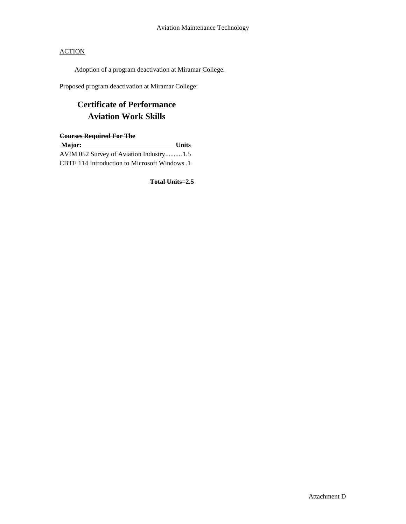Adoption of a program deactivation at Miramar College.

Proposed program deactivation at Miramar College:

# **Certificate of Performance Aviation Work Skills**

**Courses Required For The Major: Units** AVIM 052 Survey of Aviation Industry..........1.5

CBTE 114 Introduction to Microsoft Windows.1

**Total Units=2.5**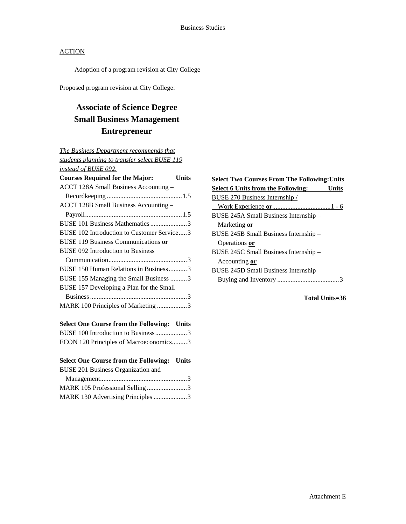Adoption of a program revision at City College

Proposed program revision at City College:

# **Associate of Science Degree Small Business Management Entrepreneur**

| <b>The Business Department recommends that</b>     |  |  |
|----------------------------------------------------|--|--|
|                                                    |  |  |
| students planning to transfer select BUSE 119      |  |  |
| instead of BUSE 092.                               |  |  |
| <b>Courses Required for the Major:</b><br>Units    |  |  |
| ACCT 128A Small Business Accounting -              |  |  |
|                                                    |  |  |
| ACCT 128B Small Business Accounting -              |  |  |
|                                                    |  |  |
| BUSE 101 Business Mathematics 3                    |  |  |
| BUSE 102 Introduction to Customer Service3         |  |  |
| <b>BUSE 119 Business Communications or</b>         |  |  |
| <b>BUSE 092 Introduction to Business</b>           |  |  |
|                                                    |  |  |
| BUSE 150 Human Relations in Business3              |  |  |
| BUSE 155 Managing the Small Business 3             |  |  |
| BUSE 157 Developing a Plan for the Small           |  |  |
|                                                    |  |  |
| MARK 100 Principles of Marketing 3                 |  |  |
|                                                    |  |  |
| <b>Select One Course from the Following: Units</b> |  |  |
| BUSE 100 Introduction to Business 3                |  |  |
| ECON 120 Principles of Macroeconomics3             |  |  |

|  |  | <b>Select One Course from the Following: Units</b> |  |
|--|--|----------------------------------------------------|--|

| BUSE 201 Business Organization and |  |
|------------------------------------|--|
|                                    |  |
|                                    |  |
| MARK 130 Advertising Principles 3  |  |

| <b>Select Two Courses From The Following: Units</b> |       |
|-----------------------------------------------------|-------|
| <b>Select 6 Units from the Following:</b>           | Units |
| BUSE 270 Business Internship /                      |       |
|                                                     |       |
| BUSE 245A Small Business Internship -               |       |
| Marketing or                                        |       |
| BUSE 245B Small Business Internship -               |       |
| Operations or                                       |       |
| BUSE 245C Small Business Internship -               |       |
| Accounting or                                       |       |
| BUSE 245D Small Business Internship -               |       |
|                                                     |       |

**Total Units=36**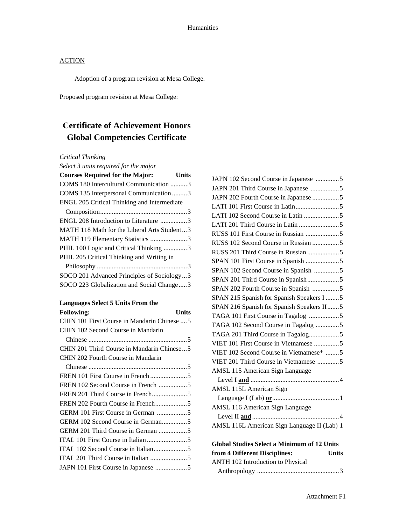Adoption of a program revision at Mesa College.

Proposed program revision at Mesa College:

## **Certificate of Achievement Honors Global Competencies Certificate**

### *Critical Thinking*

| Select 3 units required for the major       |              |
|---------------------------------------------|--------------|
| <b>Courses Required for the Major:</b>      | <b>Units</b> |
| COMS 180 Intercultural Communication 3      |              |
| COMS 135 Interpersonal Communication 3      |              |
| ENGL 205 Critical Thinking and Intermediate |              |
|                                             |              |
| ENGL 208 Introduction to Literature 3       |              |
| MATH 118 Math for the Liberal Arts Student3 |              |
| MATH 119 Elementary Statistics 3            |              |
| PHIL 100 Logic and Critical Thinking 3      |              |
| PHIL 205 Critical Thinking and Writing in   |              |
|                                             |              |
| SOCO 201 Advanced Principles of Sociology3  |              |
| SOCO 223 Globalization and Social Change3   |              |

### **Languages Select 5 Units From the**

| <b>Following:</b><br><b>Units</b>            |
|----------------------------------------------|
| CHIN 101 First Course in Mandarin Chinese  5 |
| CHIN 102 Second Course in Mandarin           |
|                                              |
| CHIN 201 Third Course in Mandarin Chinese5   |
| CHIN 202 Fourth Course in Mandarin           |
|                                              |
|                                              |
|                                              |
|                                              |
|                                              |
|                                              |
| GERM 102 Second Course in German5            |
|                                              |
|                                              |
|                                              |
|                                              |
|                                              |

| JAPN 102 Second Course in Japanese 5               |
|----------------------------------------------------|
| JAPN 201 Third Course in Japanese 5                |
| JAPN 202 Fourth Course in Japanese 5               |
|                                                    |
|                                                    |
|                                                    |
|                                                    |
| RUSS 102 Second Course in Russian 5                |
|                                                    |
| SPAN 101 First Course in Spanish 5                 |
| SPAN 102 Second Course in Spanish 5                |
| SPAN 201 Third Course in Spanish5                  |
| SPAN 202 Fourth Course in Spanish 5                |
| SPAN 215 Spanish for Spanish Speakers I  5         |
| SPAN 216 Spanish for Spanish Speakers II5          |
| TAGA 101 First Course in Tagalog 5                 |
| TAGA 102 Second Course in Tagalog 5                |
|                                                    |
| VIET 101 First Course in Vietnamese 5              |
| VIET 102 Second Course in Vietnamese* 5            |
| VIET 201 Third Course in Vietnamese 5              |
| AMSL 115 American Sign Language                    |
|                                                    |
| AMSL 115L American Sign                            |
|                                                    |
| <b>AMSL 116 American Sign Language</b>             |
|                                                    |
| AMSL 116L American Sign Language II (Lab) 1        |
|                                                    |
| <b>Global Studies Select a Minimum of 12 Units</b> |
| from 4 Different Disciplines:<br><b>Units</b>      |
| ANTH 102 Introduction to Physical                  |
|                                                    |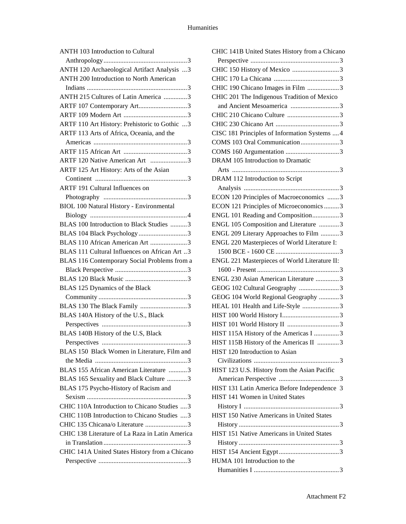| ANTH 103 Introduction to Cultural               |
|-------------------------------------------------|
|                                                 |
| ANTH 120 Archaeological Artifact Analysis 3     |
| <b>ANTH 200 Introduction to North American</b>  |
|                                                 |
| ANTH 215 Cultures of Latin America 3            |
| ARTF 107 Contemporary Art3                      |
|                                                 |
| ARTF 110 Art History: Prehistoric to Gothic 3   |
| ARTF 113 Arts of Africa, Oceania, and the       |
|                                                 |
|                                                 |
| ARTF 120 Native American Art 3                  |
| ARTF 125 Art History: Arts of the Asian         |
|                                                 |
| ARTF 191 Cultural Influences on                 |
|                                                 |
| <b>BIOL 100 Natural History - Environmental</b> |
|                                                 |
| BLAS 100 Introduction to Black Studies 3        |
| BLAS 104 Black Psychology 3                     |
| BLAS 110 African American Art 3                 |
| BLAS 111 Cultural Influences on African Art 3   |
|                                                 |
| BLAS 116 Contemporary Social Problems from a    |
|                                                 |
|                                                 |
| BLAS 125 Dynamics of the Black                  |
|                                                 |
| BLAS 130 The Black Family 3                     |
| BLAS 140A History of the U.S., Black            |
|                                                 |
| BLAS 140B History of the U.S, Black             |
| 3                                               |
| BLAS 150 Black Women in Literature, Film and    |
|                                                 |
| BLAS 155 African American Literature 3          |
| BLAS 165 Sexuality and Black Culture 3          |
| BLAS 175 Psycho-History of Racism and           |
|                                                 |
| CHIC 110A Introduction to Chicano Studies  3    |
| CHIC 110B Introduction to Chicano Studies  3    |
| CHIC 135 Chicana/o Literature 3                 |
| CHIC 138 Literature of La Raza in Latin America |
|                                                 |
| CHIC 141A United States History from a Chicano  |
|                                                 |

| CHIC 141B United States History from a Chicano |
|------------------------------------------------|
|                                                |
| CHIC 150 History of Mexico 3                   |
|                                                |
| CHIC 190 Chicano Images in Film 3              |
| CHIC 201 The Indigenous Tradition of Mexico    |
|                                                |
|                                                |
|                                                |
| CISC 181 Principles of Information Systems  4  |
| COMS 103 Oral Communication3                   |
|                                                |
| DRAM 105 Introduction to Dramatic              |
|                                                |
| DRAM 112 Introduction to Script                |
|                                                |
| ECON 120 Principles of Macroeconomics 3        |
| ECON 121 Principles of Microeconomics 3        |
| ENGL 101 Reading and Composition3              |
| ENGL 105 Composition and Literature 3          |
| ENGL 209 Literary Approaches to Film 3         |
| ENGL 220 Masterpieces of World Literature I:   |
|                                                |
| ENGL 221 Masterpieces of World Literature II:  |
|                                                |
| ENGL 230 Asian American Literature 3           |
| GEOG 102 Cultural Geography 3                  |
| GEOG 104 World Regional Geography 3            |
| HEAL 101 Health and Life-Style 3               |
|                                                |
|                                                |
| HIST 115A History of the Americas I 3          |
| HIST 115B History of the Americas II 3         |
| HIST 120 Introduction to Asian                 |
|                                                |
| HIST 123 U.S. History from the Asian Pacific   |
|                                                |
| HIST 131 Latin America Before Independence 3   |
| HIST 141 Women in United States                |
|                                                |
| HIST 150 Native Americans in United States     |
|                                                |
| HIST 151 Native Americans in United States     |
|                                                |
|                                                |
| HUMA 101 Introduction to the                   |
|                                                |
|                                                |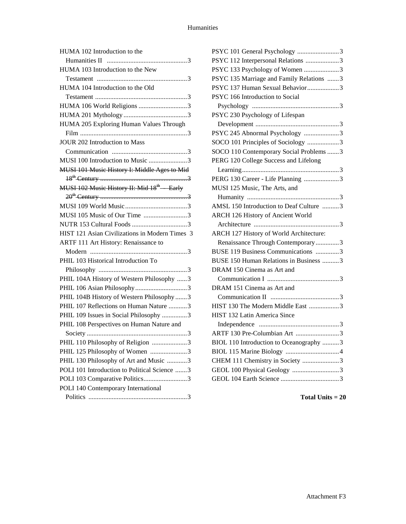| HUMA 102 Introduction to the                          |
|-------------------------------------------------------|
|                                                       |
| HUMA 103 Introduction to the New                      |
|                                                       |
| HUMA 104 Introduction to the Old                      |
|                                                       |
| HUMA 106 World Religions 3                            |
|                                                       |
| HUMA 205 Exploring Human Values Through               |
|                                                       |
| <b>JOUR 202 Introduction to Mass</b>                  |
|                                                       |
| MUSI 100 Introduction to Music 3                      |
| MUSI 101 Music History I: Middle Ages to Mid          |
|                                                       |
| MUSI 102 Music History II: Mid 18 <sup>th</sup> Early |
|                                                       |
|                                                       |
| MUSI 105 Music of Our Time 3                          |
|                                                       |
| HIST 121 Asian Civilizations in Modern Times 3        |
| ARTF 111 Art History: Renaissance to                  |
|                                                       |
| PHIL 103 Historical Introduction To                   |
|                                                       |
| PHIL 104A History of Western Philosophy 3             |
| PHIL 106 Asian Philosophy3                            |
| PHIL 104B History of Western Philosophy 3             |
| PHIL 107 Reflections on Human Nature 3                |
| PHIL 109 Issues in Social Philosophy 3                |
| PHIL 108 Perspectives on Human Nature and             |
|                                                       |
| PHIL 110 Philosophy of Religion 3                     |
| PHIL 125 Philosophy of Women 3                        |
| PHIL 130 Philosophy of Art and Music 3                |
| POLI 101 Introduction to Political Science 3          |
| POLI 103 Comparative Politics3                        |
| POLI 140 Contemporary International                   |
|                                                       |

| PSYC 101 General Psychology 3            |  |
|------------------------------------------|--|
| PSYC 112 Interpersonal Relations 3       |  |
| PSYC 133 Psychology of Women 3           |  |
| PSYC 135 Marriage and Family Relations 3 |  |
| PSYC 137 Human Sexual Behavior3          |  |
| PSYC 166 Introduction to Social          |  |
|                                          |  |
| PSYC 230 Psychology of Lifespan          |  |
|                                          |  |
| PSYC 245 Abnormal Psychology 3           |  |
| SOCO 101 Principles of Sociology 3       |  |
| SOCO 110 Contemporary Social Problems  3 |  |
| PERG 120 College Success and Lifelong    |  |
|                                          |  |
| PERG 130 Career - Life Planning 3        |  |
| MUSI 125 Music, The Arts, and            |  |
|                                          |  |
| AMSL 150 Introduction to Deaf Culture 3  |  |
| ARCH 126 History of Ancient World        |  |
|                                          |  |
| ARCH 127 History of World Architecture:  |  |
| Renaissance Through Contemporary3        |  |
| BUSE 119 Business Communications 3       |  |
| BUSE 150 Human Relations in Business 3   |  |
| DRAM 150 Cinema as Art and               |  |
|                                          |  |
| DRAM 151 Cinema as Art and               |  |
|                                          |  |
| HIST 130 The Modern Middle East 3        |  |
| HIST 132 Latin America Since             |  |
|                                          |  |
| ARTF 130 Pre-Columbian Art 3             |  |
| BIOL 110 Introduction to Oceanography 3  |  |
|                                          |  |
| CHEM 111 Chemistry in Society 3          |  |
| GEOL 100 Physical Geology 3              |  |
|                                          |  |

**Total Units = 20**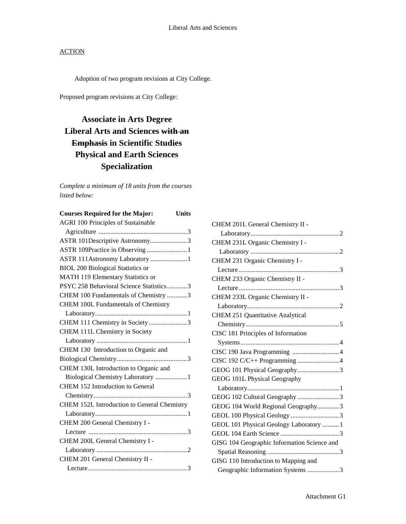Adoption of two program revisions at City College.

Proposed program revisions at City College:

# **Associate in Arts Degree Liberal Arts and Sciences with an Emphasis in Scientific Studies Physical and Earth Sciences Specialization**

*Complete a minimum of 18 units from the courses listed below:*

| <b>Courses Required for the Major:</b>      | Units |
|---------------------------------------------|-------|
| <b>AGRI 100 Principles of Sustainable</b>   |       |
|                                             |       |
| ASTR 101Descriptive Astronomy3              |       |
| ASTR 109Practice in Observing 1             |       |
| ASTR 111Astronomy Laboratory 1              |       |
| <b>BIOL 200 Biological Statistics or</b>    |       |
| MATH 119 Elementary Statistics or           |       |
| PSYC 258 Behavioral Science Statistics3     |       |
| CHEM 100 Fundamentals of Chemistry 3        |       |
| CHEM 100L Fundamentals of Chemistry         |       |
|                                             |       |
| CHEM 111 Chemistry in Society3              |       |
| CHEM 111L Chemistry in Society              |       |
|                                             |       |
| CHEM 130 Introduction to Organic and        |       |
|                                             |       |
| CHEM 130L Introduction to Organic and       |       |
| Biological Chemistry Laboratory  1          |       |
| CHEM 152 Introduction to General            |       |
|                                             |       |
| CHEM 152L Introduction to General Chemistry |       |
|                                             |       |
| CHEM 200 General Chemistry I -              |       |
|                                             |       |
| CHEM 200L General Chemistry I -             |       |
|                                             |       |
| CHEM 201 General Chemistry II -             |       |
|                                             |       |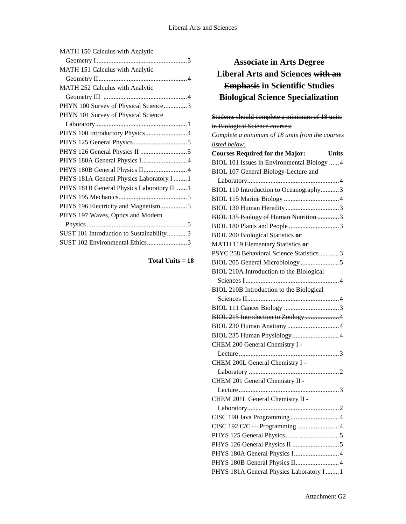| MATH 150 Calculus with Analytic           |
|-------------------------------------------|
|                                           |
| MATH 151 Calculus with Analytic           |
|                                           |
| MATH 252 Calculus with Analytic           |
|                                           |
| PHYN 100 Survey of Physical Science3      |
| PHYN 101 Survey of Physical Science       |
|                                           |
| PHYS 100 Introductory Physics4            |
|                                           |
|                                           |
| PHYS 180A General Physics I4              |
| PHYS 180B General Physics II4             |
| PHYS 181A General Physics Laboratory I  1 |
| PHYS 181B General Physics Laboratory II 1 |
|                                           |
| PHYS 196 Electricity and Magnetism5       |
| PHYS 197 Waves, Optics and Modern         |
|                                           |
| SUST 101 Introduction to Sustainability3  |
| SUST 102 Environmental Ethics3            |

|  | Total Units = 18 |  |  |
|--|------------------|--|--|
|--|------------------|--|--|

# **Associate in Arts Degree Liberal Arts and Sciences with an Emphasis in Scientific Studies Biological Science Specialization**

Students should complete a minimum of 18 units in Biological Science courses: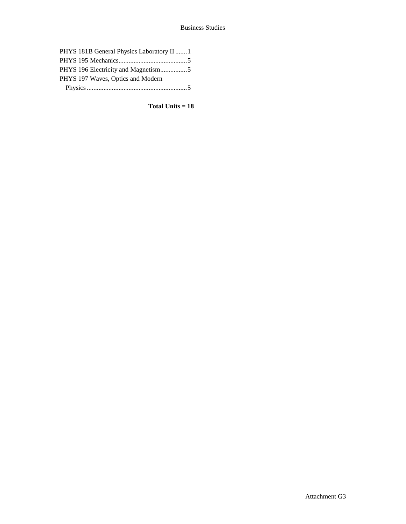| PHYS 181B General Physics Laboratory II  1 |  |
|--------------------------------------------|--|
|                                            |  |
| PHYS 196 Electricity and Magnetism5        |  |
| PHYS 197 Waves, Optics and Modern          |  |
|                                            |  |

**Total Units = 18**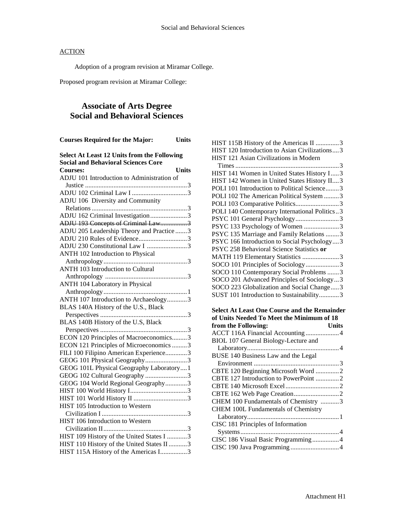Adoption of a program revision at Miramar College.

Proposed program revision at Miramar College:

## **Associate of Arts Degree Social and Behavioral Sciences**

|  |  | <b>Courses Required for the Major:</b> | Units |
|--|--|----------------------------------------|-------|
|--|--|----------------------------------------|-------|

| <b>Select At Least 12 Units from the Following</b> |
|----------------------------------------------------|
| <b>Social and Behavioral Sciences Core</b>         |
| <b>Units</b><br><b>Courses:</b>                    |
| ADJU 101 Introduction to Administration of         |
|                                                    |
|                                                    |
| ADJU 106 Diversity and Community                   |
|                                                    |
| ADJU 162 Criminal Investigation3                   |
| ADJU 193 Concepts of Criminal Law3                 |
| ADJU 205 Leadership Theory and Practice 3          |
| ADJU 210 Rules of Evidence3                        |
| ADJU 230 Constitutional Law I 3                    |
| ANTH 102 Introduction to Physical                  |
|                                                    |
| ANTH 103 Introduction to Cultural                  |
|                                                    |
| ANTH 104 Laboratory in Physical                    |
|                                                    |
| ANTH 107 Introduction to Archaeology3              |
| BLAS 140A History of the U.S., Black               |
|                                                    |
| BLAS 140B History of the U.S, Black                |
|                                                    |
| ECON 120 Principles of Macroeconomics3             |
| ECON 121 Principles of Microeconomics 3            |
| FILI 100 Filipino American Experience3             |
| GEOG 101 Physical Geography3                       |
| GEOG 101L Physical Geography Laboratory1           |
| GEOG 102 Cultural Geography 3                      |
| GEOG 104 World Regional Geography3                 |
|                                                    |
|                                                    |
| HIST 105 Introduction to Western                   |
|                                                    |
| HIST 106 Introduction to Western                   |
|                                                    |
| HIST 109 History of the United States I 3          |
| HIST 110 History of the United States II 3         |
| HIST 115A History of the Americas I3               |

| <b>Select At Least One Course and the Remainder</b><br>of Units Needed To Meet the Minimum of 18 |
|--------------------------------------------------------------------------------------------------|
| from the Following:<br>Units                                                                     |
|                                                                                                  |
| BIOL 107 General Biology-Lecture and                                                             |
|                                                                                                  |
| BUSE 140 Business Law and the Legal                                                              |
|                                                                                                  |
| CBTE 120 Beginning Microsoft Word2                                                               |
| CBTE 127 Introduction to PowerPoint 2                                                            |
|                                                                                                  |
|                                                                                                  |
| CHEM 100 Fundamentals of Chemistry 3                                                             |
| CHEM 100L Fundamentals of Chemistry                                                              |
|                                                                                                  |
| CISC 181 Principles of Information                                                               |
|                                                                                                  |
| CISC 186 Visual Basic Programming4                                                               |
|                                                                                                  |